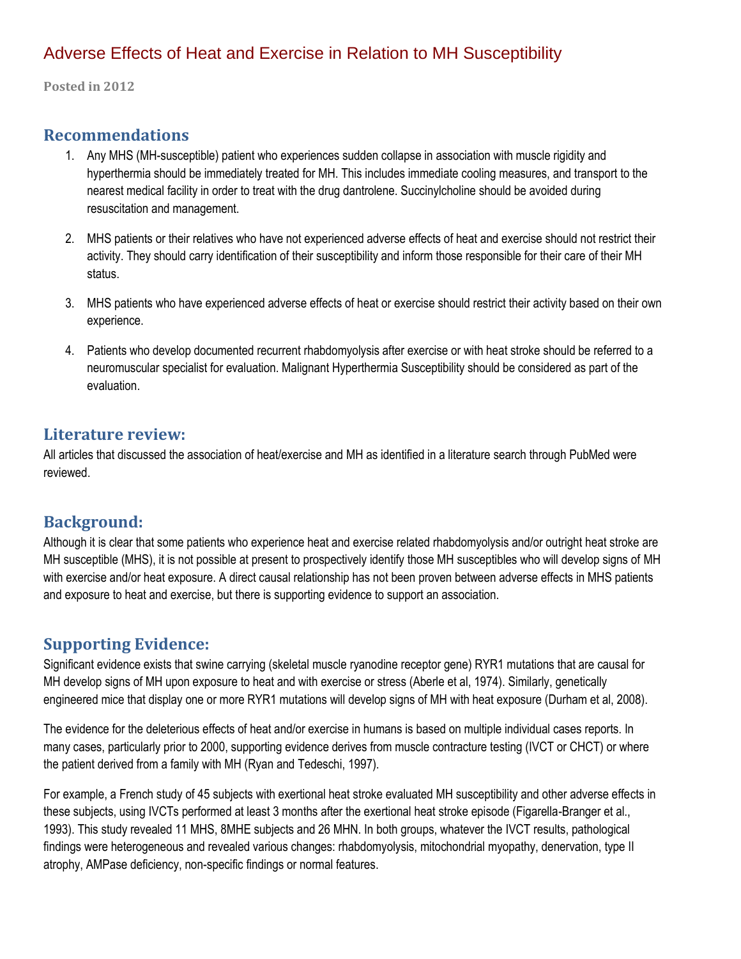# Adverse Effects of Heat and Exercise in Relation to MH Susceptibility

**Posted in 2012**

### **Recommendations**

- 1. Any MHS (MH-susceptible) patient who experiences sudden collapse in association with muscle rigidity and hyperthermia should be immediately treated for MH. This includes immediate cooling measures, and transport to the nearest medical facility in order to treat with the drug dantrolene. Succinylcholine should be avoided during resuscitation and management.
- 2. MHS patients or their relatives who have not experienced adverse effects of heat and exercise should not restrict their activity. They should carry identification of their susceptibility and inform those responsible for their care of their MH status.
- 3. MHS patients who have experienced adverse effects of heat or exercise should restrict their activity based on their own experience.
- 4. Patients who develop documented recurrent rhabdomyolysis after exercise or with heat stroke should be referred to a neuromuscular specialist for evaluation. Malignant Hyperthermia Susceptibility should be considered as part of the evaluation.

### **Literature review:**

All articles that discussed the association of heat/exercise and MH as identified in a literature search through PubMed were reviewed.

# **Background:**

Although it is clear that some patients who experience heat and exercise related rhabdomyolysis and/or outright heat stroke are MH susceptible (MHS), it is not possible at present to prospectively identify those MH susceptibles who will develop signs of MH with exercise and/or heat exposure. A direct causal relationship has not been proven between adverse effects in MHS patients and exposure to heat and exercise, but there is supporting evidence to support an association.

# **Supporting Evidence:**

Significant evidence exists that swine carrying (skeletal muscle ryanodine receptor gene) RYR1 mutations that are causal for MH develop signs of MH upon exposure to heat and with exercise or stress (Aberle et al, 1974). Similarly, genetically engineered mice that display one or more RYR1 mutations will develop signs of MH with heat exposure (Durham et al, 2008).

The evidence for the deleterious effects of heat and/or exercise in humans is based on multiple individual cases reports. In many cases, particularly prior to 2000, supporting evidence derives from muscle contracture testing (IVCT or CHCT) or where the patient derived from a family with MH (Ryan and Tedeschi, 1997).

For example, a French study of 45 subjects with exertional heat stroke evaluated MH susceptibility and other adverse effects in these subjects, using IVCTs performed at least 3 months after the exertional heat stroke episode (Figarella-Branger et al., 1993). This study revealed 11 MHS, 8MHE subjects and 26 MHN. In both groups, whatever the IVCT results, pathological findings were heterogeneous and revealed various changes: rhabdomyolysis, mitochondrial myopathy, denervation, type II atrophy, AMPase deficiency, non-specific findings or normal features.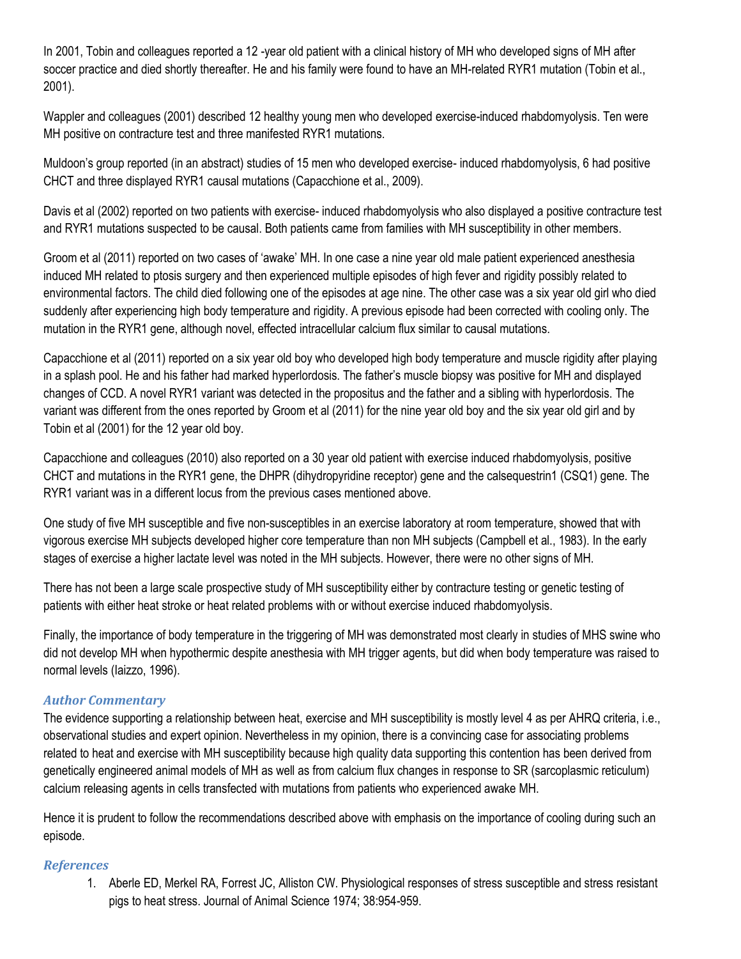In 2001, Tobin and colleagues reported a 12 -year old patient with a clinical history of MH who developed signs of MH after soccer practice and died shortly thereafter. He and his family were found to have an MH-related RYR1 mutation (Tobin et al., 2001).

Wappler and colleagues (2001) described 12 healthy young men who developed exercise-induced rhabdomyolysis. Ten were MH positive on contracture test and three manifested RYR1 mutations.

Muldoon's group reported (in an abstract) studies of 15 men who developed exercise- induced rhabdomyolysis, 6 had positive CHCT and three displayed RYR1 causal mutations (Capacchione et al., 2009).

Davis et al (2002) reported on two patients with exercise- induced rhabdomyolysis who also displayed a positive contracture test and RYR1 mutations suspected to be causal. Both patients came from families with MH susceptibility in other members.

Groom et al (2011) reported on two cases of 'awake' MH. In one case a nine year old male patient experienced anesthesia induced MH related to ptosis surgery and then experienced multiple episodes of high fever and rigidity possibly related to environmental factors. The child died following one of the episodes at age nine. The other case was a six year old girl who died suddenly after experiencing high body temperature and rigidity. A previous episode had been corrected with cooling only. The mutation in the RYR1 gene, although novel, effected intracellular calcium flux similar to causal mutations.

Capacchione et al (2011) reported on a six year old boy who developed high body temperature and muscle rigidity after playing in a splash pool. He and his father had marked hyperlordosis. The father's muscle biopsy was positive for MH and displayed changes of CCD. A novel RYR1 variant was detected in the propositus and the father and a sibling with hyperlordosis. The variant was different from the ones reported by Groom et al (2011) for the nine year old boy and the six year old girl and by Tobin et al (2001) for the 12 year old boy.

Capacchione and colleagues (2010) also reported on a 30 year old patient with exercise induced rhabdomyolysis, positive CHCT and mutations in the RYR1 gene, the DHPR (dihydropyridine receptor) gene and the calsequestrin1 (CSQ1) gene. The RYR1 variant was in a different locus from the previous cases mentioned above.

One study of five MH susceptible and five non-susceptibles in an exercise laboratory at room temperature, showed that with vigorous exercise MH subjects developed higher core temperature than non MH subjects (Campbell et al., 1983). In the early stages of exercise a higher lactate level was noted in the MH subjects. However, there were no other signs of MH.

There has not been a large scale prospective study of MH susceptibility either by contracture testing or genetic testing of patients with either heat stroke or heat related problems with or without exercise induced rhabdomyolysis.

Finally, the importance of body temperature in the triggering of MH was demonstrated most clearly in studies of MHS swine who did not develop MH when hypothermic despite anesthesia with MH trigger agents, but did when body temperature was raised to normal levels (Iaizzo, 1996).

### *Author Commentary*

The evidence supporting a relationship between heat, exercise and MH susceptibility is mostly level 4 as per AHRQ criteria, i.e., observational studies and expert opinion. Nevertheless in my opinion, there is a convincing case for associating problems related to heat and exercise with MH susceptibility because high quality data supporting this contention has been derived from genetically engineered animal models of MH as well as from calcium flux changes in response to SR (sarcoplasmic reticulum) calcium releasing agents in cells transfected with mutations from patients who experienced awake MH.

Hence it is prudent to follow the recommendations described above with emphasis on the importance of cooling during such an episode.

### *References*

1. Aberle ED, Merkel RA, Forrest JC, Alliston CW. Physiological responses of stress susceptible and stress resistant pigs to heat stress. Journal of Animal Science 1974; 38:954-959.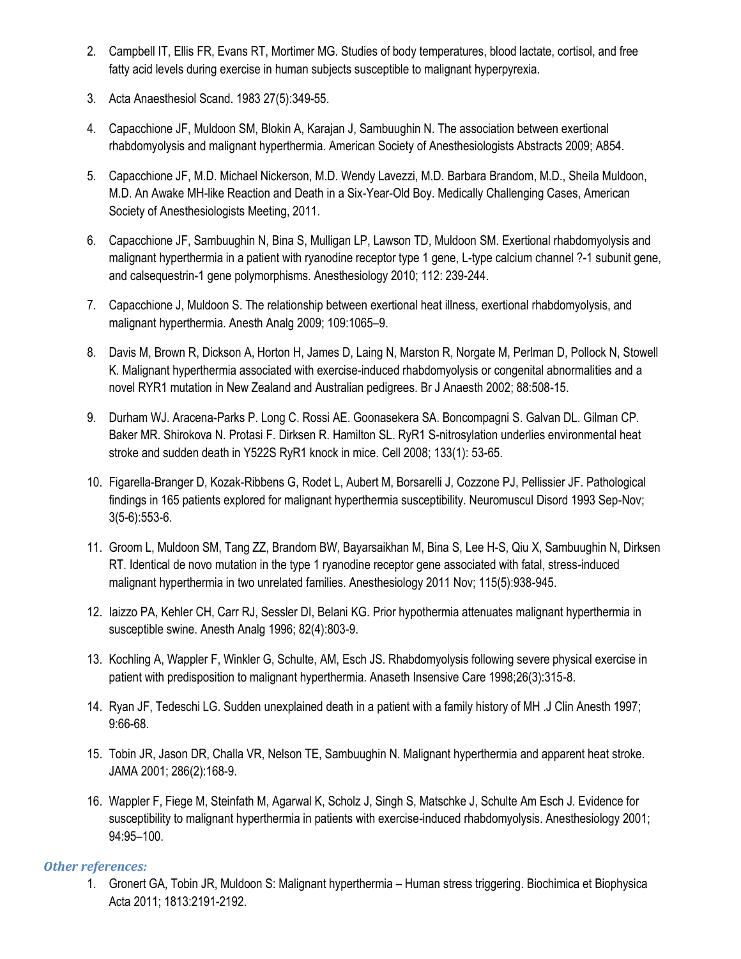- 2. Campbell IT, Ellis FR, Evans RT, Mortimer MG. Studies of body temperatures, blood lactate, cortisol, and free fatty acid levels during exercise in human subjects susceptible to malignant hyperpyrexia.
- 3. Acta Anaesthesiol Scand. 1983 27(5):349-55.
- 4. Capacchione JF, Muldoon SM, Blokin A, Karajan J, Sambuughin N. The association between exertional rhabdomyolysis and malignant hyperthermia. American Society of Anesthesiologists Abstracts 2009; A854.
- 5. Capacchione JF, M.D. Michael Nickerson, M.D. Wendy Lavezzi, M.D. Barbara Brandom, M.D., Sheila Muldoon, M.D. An Awake MH-like Reaction and Death in a Six-Year-Old Boy. Medically Challenging Cases, American Society of Anesthesiologists Meeting, 2011.
- 6. Capacchione JF, Sambuughin N, Bina S, Mulligan LP, Lawson TD, Muldoon SM. Exertional rhabdomyolysis and malignant hyperthermia in a patient with ryanodine receptor type 1 gene, L-type calcium channel ?-1 subunit gene, and calsequestrin-1 gene polymorphisms. Anesthesiology 2010; 112: 239-244.
- 7. Capacchione J, Muldoon S. The relationship between exertional heat illness, exertional rhabdomyolysis, and malignant hyperthermia. Anesth Analg 2009; 109:1065–9.
- 8. Davis M, Brown R, Dickson A, Horton H, James D, Laing N, Marston R, Norgate M, Perlman D, Pollock N, Stowell K. Malignant hyperthermia associated with exercise-induced rhabdomyolysis or congenital abnormalities and a novel RYR1 mutation in New Zealand and Australian pedigrees. Br J Anaesth 2002; 88:508-15.
- 9. Durham WJ. Aracena-Parks P. Long C. Rossi AE. Goonasekera SA. Boncompagni S. Galvan DL. Gilman CP. Baker MR. Shirokova N. Protasi F. Dirksen R. Hamilton SL. RyR1 S-nitrosylation underlies environmental heat stroke and sudden death in Y522S RyR1 knock in mice. Cell 2008; 133(1): 53-65.
- 10. Figarella-Branger D, Kozak-Ribbens G, Rodet L, Aubert M, Borsarelli J, Cozzone PJ, Pellissier JF. Pathological findings in 165 patients explored for malignant hyperthermia susceptibility. Neuromuscul Disord 1993 Sep-Nov; 3(5-6):553-6.
- 11. Groom L, Muldoon SM, Tang ZZ, Brandom BW, Bayarsaikhan M, Bina S, Lee H-S, Qiu X, Sambuughin N, Dirksen RT. Identical de novo mutation in the type 1 ryanodine receptor gene associated with fatal, stress-induced malignant hyperthermia in two unrelated families. Anesthesiology 2011 Nov; 115(5):938-945.
- 12. Iaizzo PA, Kehler CH, Carr RJ, Sessler DI, Belani KG. Prior hypothermia attenuates malignant hyperthermia in susceptible swine. Anesth Analg 1996; 82(4):803-9.
- 13. Kochling A, Wappler F, Winkler G, Schulte, AM, Esch JS. Rhabdomyolysis following severe physical exercise in patient with predisposition to malignant hyperthermia. Anaseth Insensive Care 1998;26(3):315-8.
- 14. Ryan JF, Tedeschi LG. Sudden unexplained death in a patient with a family history of MH .J Clin Anesth 1997; 9:66-68.
- 15. Tobin JR, Jason DR, Challa VR, Nelson TE, Sambuughin N. Malignant hyperthermia and apparent heat stroke. JAMA 2001; 286(2):168-9.
- 16. Wappler F, Fiege M, Steinfath M, Agarwal K, Scholz J, Singh S, Matschke J, Schulte Am Esch J. Evidence for susceptibility to malignant hyperthermia in patients with exercise-induced rhabdomyolysis. Anesthesiology 2001; 94:95–100.

### *Other references:*

1. Gronert GA, Tobin JR, Muldoon S: Malignant hyperthermia – Human stress triggering. Biochimica et Biophysica Acta 2011; 1813:2191-2192.